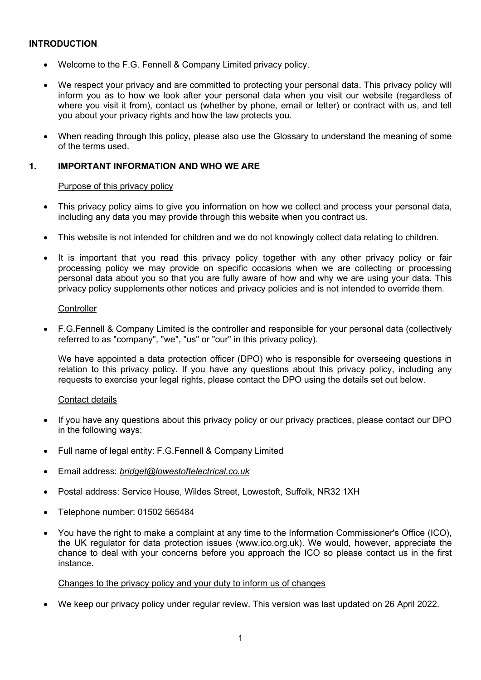### INTRODUCTION

- Welcome to the F.G. Fennell & Company Limited privacy policy.
- We respect your privacy and are committed to protecting your personal data. This privacy policy will inform you as to how we look after your personal data when you visit our website (regardless of where you visit it from), contact us (whether by phone, email or letter) or contract with us, and tell you about your privacy rights and how the law protects you.
- When reading through this policy, please also use the Glossary to understand the meaning of some of the terms used.

### 1. IMPORTANT INFORMATION AND WHO WE ARE

#### Purpose of this privacy policy

- This privacy policy aims to give you information on how we collect and process your personal data, including any data you may provide through this website when you contract us.
- This website is not intended for children and we do not knowingly collect data relating to children.
- It is important that you read this privacy policy together with any other privacy policy or fair processing policy we may provide on specific occasions when we are collecting or processing personal data about you so that you are fully aware of how and why we are using your data. This privacy policy supplements other notices and privacy policies and is not intended to override them.

#### **Controller**

 F.G.Fennell & Company Limited is the controller and responsible for your personal data (collectively referred to as "company", "we", "us" or "our" in this privacy policy).

We have appointed a data protection officer (DPO) who is responsible for overseeing questions in relation to this privacy policy. If you have any questions about this privacy policy, including any requests to exercise your legal rights, please contact the DPO using the details set out below.

#### Contact details

- If you have any questions about this privacy policy or our privacy practices, please contact our DPO in the following ways:
- Full name of legal entity: F.G.Fennell & Company Limited
- Email address: bridget@lowestoftelectrical.co.uk
- Postal address: Service House, Wildes Street, Lowestoft, Suffolk, NR32 1XH
- Telephone number: 01502 565484
- You have the right to make a complaint at any time to the Information Commissioner's Office (ICO), the UK regulator for data protection issues (www.ico.org.uk). We would, however, appreciate the chance to deal with your concerns before you approach the ICO so please contact us in the first instance.

#### Changes to the privacy policy and your duty to inform us of changes

We keep our privacy policy under regular review. This version was last updated on 26 April 2022.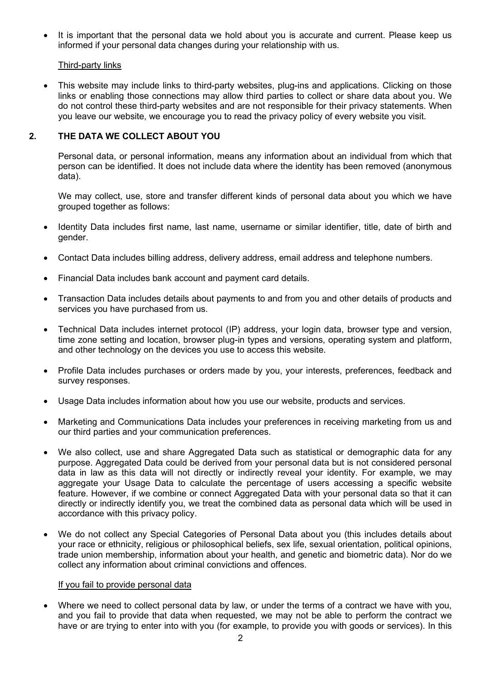It is important that the personal data we hold about you is accurate and current. Please keep us informed if your personal data changes during your relationship with us.

### Third-party links

 This website may include links to third-party websites, plug-ins and applications. Clicking on those links or enabling those connections may allow third parties to collect or share data about you. We do not control these third-party websites and are not responsible for their privacy statements. When you leave our website, we encourage you to read the privacy policy of every website you visit.

# 2. THE DATA WE COLLECT ABOUT YOU

Personal data, or personal information, means any information about an individual from which that person can be identified. It does not include data where the identity has been removed (anonymous data).

We may collect, use, store and transfer different kinds of personal data about you which we have grouped together as follows:

- Identity Data includes first name, last name, username or similar identifier, title, date of birth and gender.
- Contact Data includes billing address, delivery address, email address and telephone numbers.
- Financial Data includes bank account and payment card details.
- Transaction Data includes details about payments to and from you and other details of products and services you have purchased from us.
- Technical Data includes internet protocol (IP) address, your login data, browser type and version, time zone setting and location, browser plug-in types and versions, operating system and platform, and other technology on the devices you use to access this website.
- Profile Data includes purchases or orders made by you, your interests, preferences, feedback and survey responses.
- Usage Data includes information about how you use our website, products and services.
- Marketing and Communications Data includes your preferences in receiving marketing from us and our third parties and your communication preferences.
- We also collect, use and share Aggregated Data such as statistical or demographic data for any purpose. Aggregated Data could be derived from your personal data but is not considered personal data in law as this data will not directly or indirectly reveal your identity. For example, we may aggregate your Usage Data to calculate the percentage of users accessing a specific website feature. However, if we combine or connect Aggregated Data with your personal data so that it can directly or indirectly identify you, we treat the combined data as personal data which will be used in accordance with this privacy policy.
- We do not collect any Special Categories of Personal Data about you (this includes details about your race or ethnicity, religious or philosophical beliefs, sex life, sexual orientation, political opinions, trade union membership, information about your health, and genetic and biometric data). Nor do we collect any information about criminal convictions and offences.

#### If you fail to provide personal data

 Where we need to collect personal data by law, or under the terms of a contract we have with you, and you fail to provide that data when requested, we may not be able to perform the contract we have or are trying to enter into with you (for example, to provide you with goods or services). In this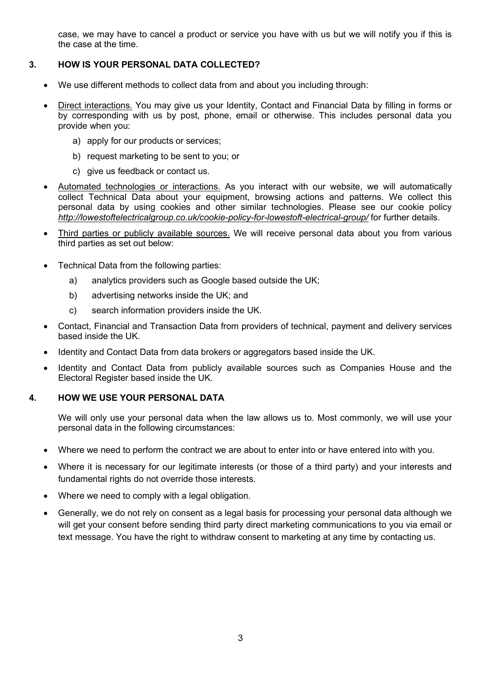case, we may have to cancel a product or service you have with us but we will notify you if this is the case at the time.

# 3. HOW IS YOUR PERSONAL DATA COLLECTED?

- We use different methods to collect data from and about you including through:
- Direct interactions. You may give us your Identity, Contact and Financial Data by filling in forms or by corresponding with us by post, phone, email or otherwise. This includes personal data you provide when you:
	- a) apply for our products or services;
	- b) request marketing to be sent to you; or
	- c) give us feedback or contact us.
- Automated technologies or interactions. As you interact with our website, we will automatically collect Technical Data about your equipment, browsing actions and patterns. We collect this personal data by using cookies and other similar technologies. Please see our cookie policy http://lowestoftelectricalgroup.co.uk/cookie-policy-for-lowestoft-electrical-group/ for further details.
- Third parties or publicly available sources. We will receive personal data about you from various third parties as set out below:
- Technical Data from the following parties:
	- a) analytics providers such as Google based outside the UK;
	- b) advertising networks inside the UK; and
	- c) search information providers inside the UK.
- Contact, Financial and Transaction Data from providers of technical, payment and delivery services based inside the UK.
- Identity and Contact Data from data brokers or aggregators based inside the UK.
- Identity and Contact Data from publicly available sources such as Companies House and the Electoral Register based inside the UK.

### 4. HOW WE USE YOUR PERSONAL DATA

We will only use your personal data when the law allows us to. Most commonly, we will use your personal data in the following circumstances:

- Where we need to perform the contract we are about to enter into or have entered into with you.
- Where it is necessary for our legitimate interests (or those of a third party) and your interests and fundamental rights do not override those interests.
- Where we need to comply with a legal obligation.
- Generally, we do not rely on consent as a legal basis for processing your personal data although we will get your consent before sending third party direct marketing communications to you via email or text message. You have the right to withdraw consent to marketing at any time by contacting us.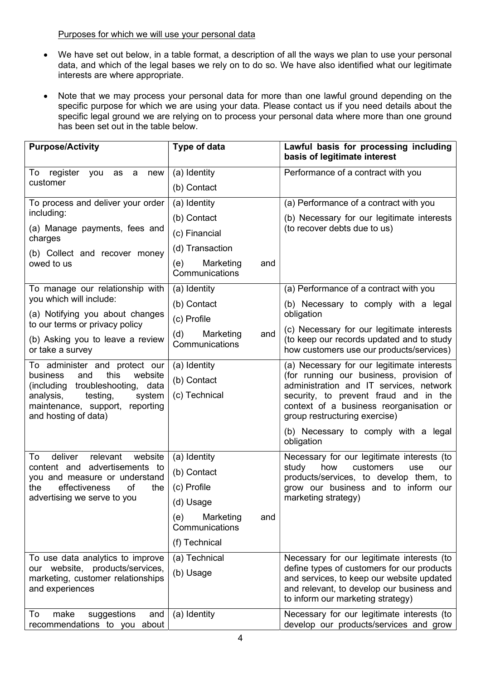### Purposes for which we will use your personal data

- We have set out below, in a table format, a description of all the ways we plan to use your personal data, and which of the legal bases we rely on to do so. We have also identified what our legitimate interests are where appropriate.
- Note that we may process your personal data for more than one lawful ground depending on the specific purpose for which we are using your data. Please contact us if you need details about the specific legal ground we are relying on to process your personal data where more than one ground has been set out in the table below.

| <b>Purpose/Activity</b>                                                                                                                                                                                  | Type of data                                 | Lawful basis for processing including<br>basis of legitimate interest                                                                                                                                                                                 |
|----------------------------------------------------------------------------------------------------------------------------------------------------------------------------------------------------------|----------------------------------------------|-------------------------------------------------------------------------------------------------------------------------------------------------------------------------------------------------------------------------------------------------------|
| To<br>register<br>you<br>a<br>as<br>new<br>customer                                                                                                                                                      | (a) Identity                                 | Performance of a contract with you                                                                                                                                                                                                                    |
|                                                                                                                                                                                                          | (b) Contact                                  |                                                                                                                                                                                                                                                       |
| To process and deliver your order                                                                                                                                                                        | (a) Identity                                 | (a) Performance of a contract with you                                                                                                                                                                                                                |
| including:                                                                                                                                                                                               | (b) Contact                                  | (b) Necessary for our legitimate interests                                                                                                                                                                                                            |
| (a) Manage payments, fees and<br>charges                                                                                                                                                                 | (c) Financial                                | (to recover debts due to us)                                                                                                                                                                                                                          |
| (b) Collect and recover money<br>owed to us                                                                                                                                                              | (d) Transaction                              |                                                                                                                                                                                                                                                       |
|                                                                                                                                                                                                          | (e)<br>Marketing<br>and<br>Communications    |                                                                                                                                                                                                                                                       |
| To manage our relationship with                                                                                                                                                                          | (a) Identity                                 | (a) Performance of a contract with you                                                                                                                                                                                                                |
| you which will include:                                                                                                                                                                                  | (b) Contact                                  | (b) Necessary to comply with a legal<br>obligation                                                                                                                                                                                                    |
| (a) Notifying you about changes<br>to our terms or privacy policy                                                                                                                                        | (c) Profile                                  |                                                                                                                                                                                                                                                       |
| (b) Asking you to leave a review<br>or take a survey                                                                                                                                                     | (d)<br>Marketing<br>and<br>Communications    | (c) Necessary for our legitimate interests<br>(to keep our records updated and to study<br>how customers use our products/services)                                                                                                                   |
| To administer and protect our<br>this<br>business<br>and<br>website<br>(including troubleshooting,<br>data<br>analysis,<br>testing,<br>system<br>maintenance, support, reporting<br>and hosting of data) | (a) Identity<br>(b) Contact<br>(c) Technical | (a) Necessary for our legitimate interests<br>(for running our business, provision of<br>administration and IT services, network<br>security, to prevent fraud and in the<br>context of a business reorganisation or<br>group restructuring exercise) |
|                                                                                                                                                                                                          |                                              | (b) Necessary to comply with a legal<br>obligation                                                                                                                                                                                                    |
| deliver<br>relevant<br>website<br>To<br>content and advertisements to<br>you and measure or understand<br>effectiveness<br>of<br>the<br>the<br>advertising we serve to you                               | (a) Identity                                 | Necessary for our legitimate interests (to<br>study<br>how<br>customers<br>use<br>our<br>products/services, to develop them, to<br>grow our business and to inform our<br>marketing strategy)                                                         |
|                                                                                                                                                                                                          | (b) Contact                                  |                                                                                                                                                                                                                                                       |
|                                                                                                                                                                                                          | (c) Profile                                  |                                                                                                                                                                                                                                                       |
|                                                                                                                                                                                                          | (d) Usage                                    |                                                                                                                                                                                                                                                       |
|                                                                                                                                                                                                          | (e)<br>Marketing<br>and<br>Communications    |                                                                                                                                                                                                                                                       |
|                                                                                                                                                                                                          | (f) Technical                                |                                                                                                                                                                                                                                                       |
| To use data analytics to improve<br>our website, products/services,<br>marketing, customer relationships<br>and experiences                                                                              | (a) Technical                                | Necessary for our legitimate interests (to                                                                                                                                                                                                            |
|                                                                                                                                                                                                          | (b) Usage                                    | define types of customers for our products<br>and services, to keep our website updated<br>and relevant, to develop our business and<br>to inform our marketing strategy)                                                                             |
| To<br>make<br>suggestions<br>and<br>recommendations to you about                                                                                                                                         | (a) Identity                                 | Necessary for our legitimate interests (to<br>develop our products/services and grow                                                                                                                                                                  |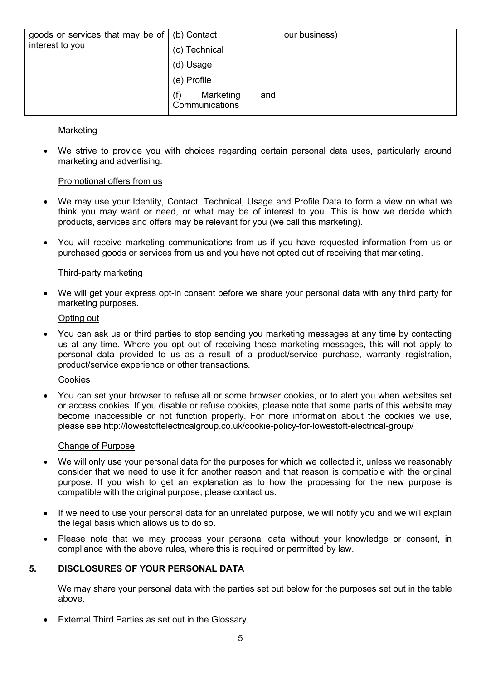| goods or services that may be of $\vert$ (b) Contact<br>interest to you | (c) Technical<br>(d) Usage      | our business) |
|-------------------------------------------------------------------------|---------------------------------|---------------|
|                                                                         | (e) Profile<br>Marketing<br>and |               |
|                                                                         | (f)<br>Communications           |               |

### Marketing

 We strive to provide you with choices regarding certain personal data uses, particularly around marketing and advertising.

### Promotional offers from us

- We may use your Identity, Contact, Technical, Usage and Profile Data to form a view on what we think you may want or need, or what may be of interest to you. This is how we decide which products, services and offers may be relevant for you (we call this marketing).
- You will receive marketing communications from us if you have requested information from us or purchased goods or services from us and you have not opted out of receiving that marketing.

### Third-party marketing

 We will get your express opt-in consent before we share your personal data with any third party for marketing purposes.

#### Opting out

 You can ask us or third parties to stop sending you marketing messages at any time by contacting us at any time. Where you opt out of receiving these marketing messages, this will not apply to personal data provided to us as a result of a product/service purchase, warranty registration, product/service experience or other transactions.

#### **Cookies**

 You can set your browser to refuse all or some browser cookies, or to alert you when websites set or access cookies. If you disable or refuse cookies, please note that some parts of this website may become inaccessible or not function properly. For more information about the cookies we use, please see http://lowestoftelectricalgroup.co.uk/cookie-policy-for-lowestoft-electrical-group/

#### Change of Purpose

- We will only use your personal data for the purposes for which we collected it, unless we reasonably consider that we need to use it for another reason and that reason is compatible with the original purpose. If you wish to get an explanation as to how the processing for the new purpose is compatible with the original purpose, please contact us.
- If we need to use your personal data for an unrelated purpose, we will notify you and we will explain the legal basis which allows us to do so.
- Please note that we may process your personal data without your knowledge or consent, in compliance with the above rules, where this is required or permitted by law.

### 5. DISCLOSURES OF YOUR PERSONAL DATA

We may share your personal data with the parties set out below for the purposes set out in the table above.

External Third Parties as set out in the Glossary.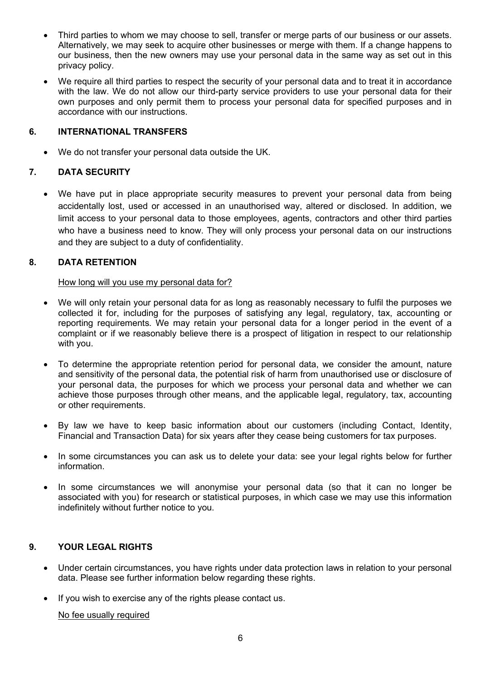- Third parties to whom we may choose to sell, transfer or merge parts of our business or our assets. Alternatively, we may seek to acquire other businesses or merge with them. If a change happens to our business, then the new owners may use your personal data in the same way as set out in this privacy policy.
- We require all third parties to respect the security of your personal data and to treat it in accordance with the law. We do not allow our third-party service providers to use your personal data for their own purposes and only permit them to process your personal data for specified purposes and in accordance with our instructions.

### 6. INTERNATIONAL TRANSFERS

We do not transfer your personal data outside the UK.

# 7. DATA SECURITY

 We have put in place appropriate security measures to prevent your personal data from being accidentally lost, used or accessed in an unauthorised way, altered or disclosed. In addition, we limit access to your personal data to those employees, agents, contractors and other third parties who have a business need to know. They will only process your personal data on our instructions and they are subject to a duty of confidentiality.

### 8. DATA RETENTION

### How long will you use my personal data for?

- We will only retain your personal data for as long as reasonably necessary to fulfil the purposes we collected it for, including for the purposes of satisfying any legal, regulatory, tax, accounting or reporting requirements. We may retain your personal data for a longer period in the event of a complaint or if we reasonably believe there is a prospect of litigation in respect to our relationship with you.
- To determine the appropriate retention period for personal data, we consider the amount, nature and sensitivity of the personal data, the potential risk of harm from unauthorised use or disclosure of your personal data, the purposes for which we process your personal data and whether we can achieve those purposes through other means, and the applicable legal, regulatory, tax, accounting or other requirements.
- By law we have to keep basic information about our customers (including Contact, Identity, Financial and Transaction Data) for six years after they cease being customers for tax purposes.
- In some circumstances you can ask us to delete your data: see your legal rights below for further information.
- In some circumstances we will anonymise your personal data (so that it can no longer be associated with you) for research or statistical purposes, in which case we may use this information indefinitely without further notice to you.

# 9. YOUR LEGAL RIGHTS

- Under certain circumstances, you have rights under data protection laws in relation to your personal data. Please see further information below regarding these rights.
- If you wish to exercise any of the rights please contact us.

No fee usually required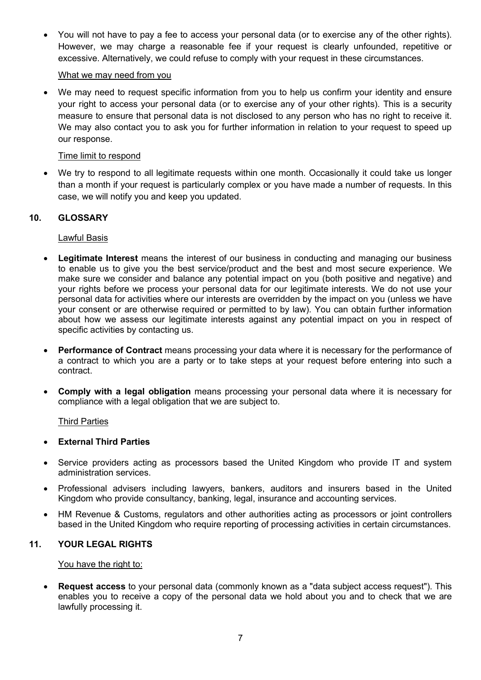You will not have to pay a fee to access your personal data (or to exercise any of the other rights). However, we may charge a reasonable fee if your request is clearly unfounded, repetitive or excessive. Alternatively, we could refuse to comply with your request in these circumstances.

### What we may need from you

We may need to request specific information from you to help us confirm your identity and ensure your right to access your personal data (or to exercise any of your other rights). This is a security measure to ensure that personal data is not disclosed to any person who has no right to receive it. We may also contact you to ask you for further information in relation to your request to speed up our response.

### Time limit to respond

We try to respond to all legitimate requests within one month. Occasionally it could take us longer than a month if your request is particularly complex or you have made a number of requests. In this case, we will notify you and keep you updated.

# 10. GLOSSARY

### Lawful Basis

- **Legitimate Interest** means the interest of our business in conducting and managing our business to enable us to give you the best service/product and the best and most secure experience. We make sure we consider and balance any potential impact on you (both positive and negative) and your rights before we process your personal data for our legitimate interests. We do not use your personal data for activities where our interests are overridden by the impact on you (unless we have your consent or are otherwise required or permitted to by law). You can obtain further information about how we assess our legitimate interests against any potential impact on you in respect of specific activities by contacting us.
- **Performance of Contract** means processing your data where it is necessary for the performance of a contract to which you are a party or to take steps at your request before entering into such a contract.
- Comply with a legal obligation means processing your personal data where it is necessary for compliance with a legal obligation that we are subject to.

### Third Parties

### External Third Parties

- Service providers acting as processors based the United Kingdom who provide IT and system administration services.
- Professional advisers including lawyers, bankers, auditors and insurers based in the United Kingdom who provide consultancy, banking, legal, insurance and accounting services.
- HM Revenue & Customs, regulators and other authorities acting as processors or joint controllers based in the United Kingdom who require reporting of processing activities in certain circumstances.

### 11. YOUR LEGAL RIGHTS

### You have the right to:

 Request access to your personal data (commonly known as a "data subject access request"). This enables you to receive a copy of the personal data we hold about you and to check that we are lawfully processing it.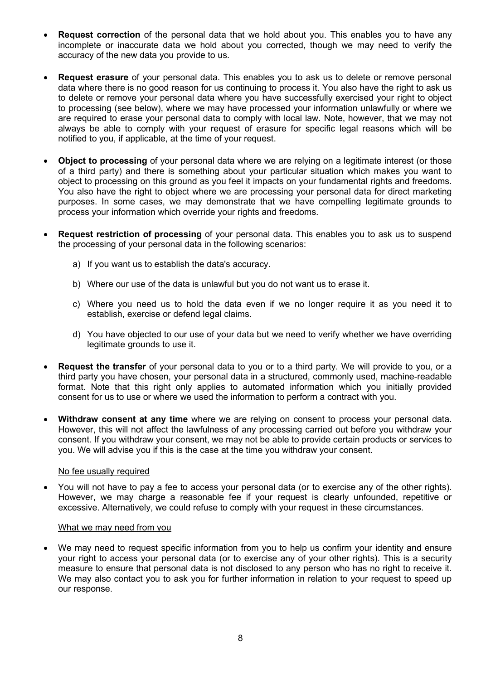- Request correction of the personal data that we hold about you. This enables you to have any incomplete or inaccurate data we hold about you corrected, though we may need to verify the accuracy of the new data you provide to us.
- Request erasure of your personal data. This enables you to ask us to delete or remove personal data where there is no good reason for us continuing to process it. You also have the right to ask us to delete or remove your personal data where you have successfully exercised your right to object to processing (see below), where we may have processed your information unlawfully or where we are required to erase your personal data to comply with local law. Note, however, that we may not always be able to comply with your request of erasure for specific legal reasons which will be notified to you, if applicable, at the time of your request.
- **Object to processing** of your personal data where we are relying on a legitimate interest (or those of a third party) and there is something about your particular situation which makes you want to object to processing on this ground as you feel it impacts on your fundamental rights and freedoms. You also have the right to object where we are processing your personal data for direct marketing purposes. In some cases, we may demonstrate that we have compelling legitimate grounds to process your information which override your rights and freedoms.
- Request restriction of processing of your personal data. This enables you to ask us to suspend the processing of your personal data in the following scenarios:
	- a) If you want us to establish the data's accuracy.
	- b) Where our use of the data is unlawful but you do not want us to erase it.
	- c) Where you need us to hold the data even if we no longer require it as you need it to establish, exercise or defend legal claims.
	- d) You have objected to our use of your data but we need to verify whether we have overriding legitimate grounds to use it.
- Request the transfer of your personal data to you or to a third party. We will provide to you, or a third party you have chosen, your personal data in a structured, commonly used, machine-readable format. Note that this right only applies to automated information which you initially provided consent for us to use or where we used the information to perform a contract with you.
- Withdraw consent at any time where we are relying on consent to process your personal data. However, this will not affect the lawfulness of any processing carried out before you withdraw your consent. If you withdraw your consent, we may not be able to provide certain products or services to you. We will advise you if this is the case at the time you withdraw your consent.

### No fee usually required

 You will not have to pay a fee to access your personal data (or to exercise any of the other rights). However, we may charge a reasonable fee if your request is clearly unfounded, repetitive or excessive. Alternatively, we could refuse to comply with your request in these circumstances.

### What we may need from you

We may need to request specific information from you to help us confirm your identity and ensure your right to access your personal data (or to exercise any of your other rights). This is a security measure to ensure that personal data is not disclosed to any person who has no right to receive it. We may also contact you to ask you for further information in relation to your request to speed up our response.